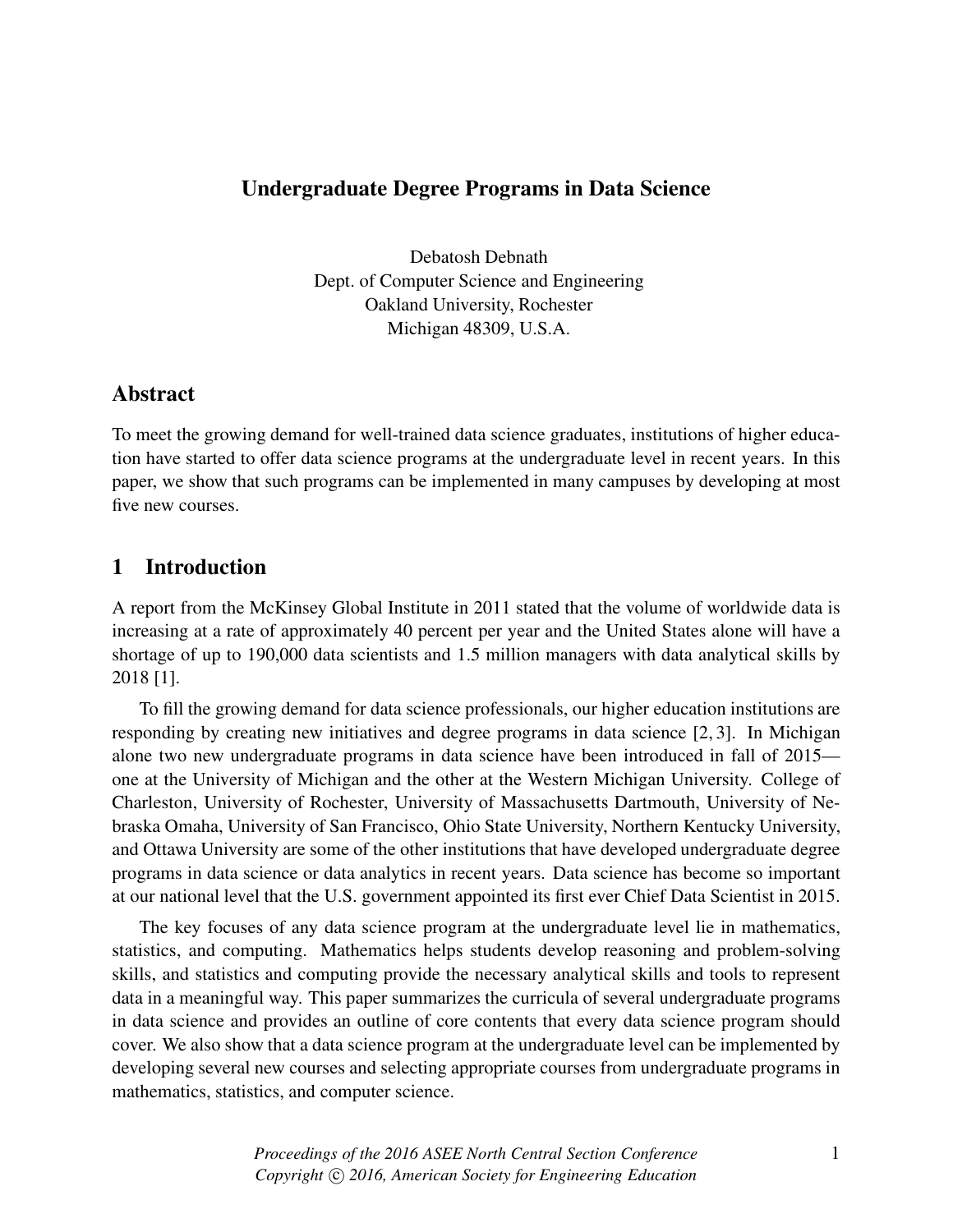# Undergraduate Degree Programs in Data Science

Debatosh Debnath Dept. of Computer Science and Engineering Oakland University, Rochester Michigan 48309, U.S.A.

## Abstract

To meet the growing demand for well-trained data science graduates, institutions of higher education have started to offer data science programs at the undergraduate level in recent years. In this paper, we show that such programs can be implemented in many campuses by developing at most five new courses.

## 1 Introduction

A report from the McKinsey Global Institute in 2011 stated that the volume of worldwide data is increasing at a rate of approximately 40 percent per year and the United States alone will have a shortage of up to 190,000 data scientists and 1.5 million managers with data analytical skills by 2018 [1].

To fill the growing demand for data science professionals, our higher education institutions are responding by creating new initiatives and degree programs in data science [2, 3]. In Michigan alone two new undergraduate programs in data science have been introduced in fall of 2015 one at the University of Michigan and the other at the Western Michigan University. College of Charleston, University of Rochester, University of Massachusetts Dartmouth, University of Nebraska Omaha, University of San Francisco, Ohio State University, Northern Kentucky University, and Ottawa University are some of the other institutions that have developed undergraduate degree programs in data science or data analytics in recent years. Data science has become so important at our national level that the U.S. government appointed its first ever Chief Data Scientist in 2015.

The key focuses of any data science program at the undergraduate level lie in mathematics, statistics, and computing. Mathematics helps students develop reasoning and problem-solving skills, and statistics and computing provide the necessary analytical skills and tools to represent data in a meaningful way. This paper summarizes the curricula of several undergraduate programs in data science and provides an outline of core contents that every data science program should cover. We also show that a data science program at the undergraduate level can be implemented by developing several new courses and selecting appropriate courses from undergraduate programs in mathematics, statistics, and computer science.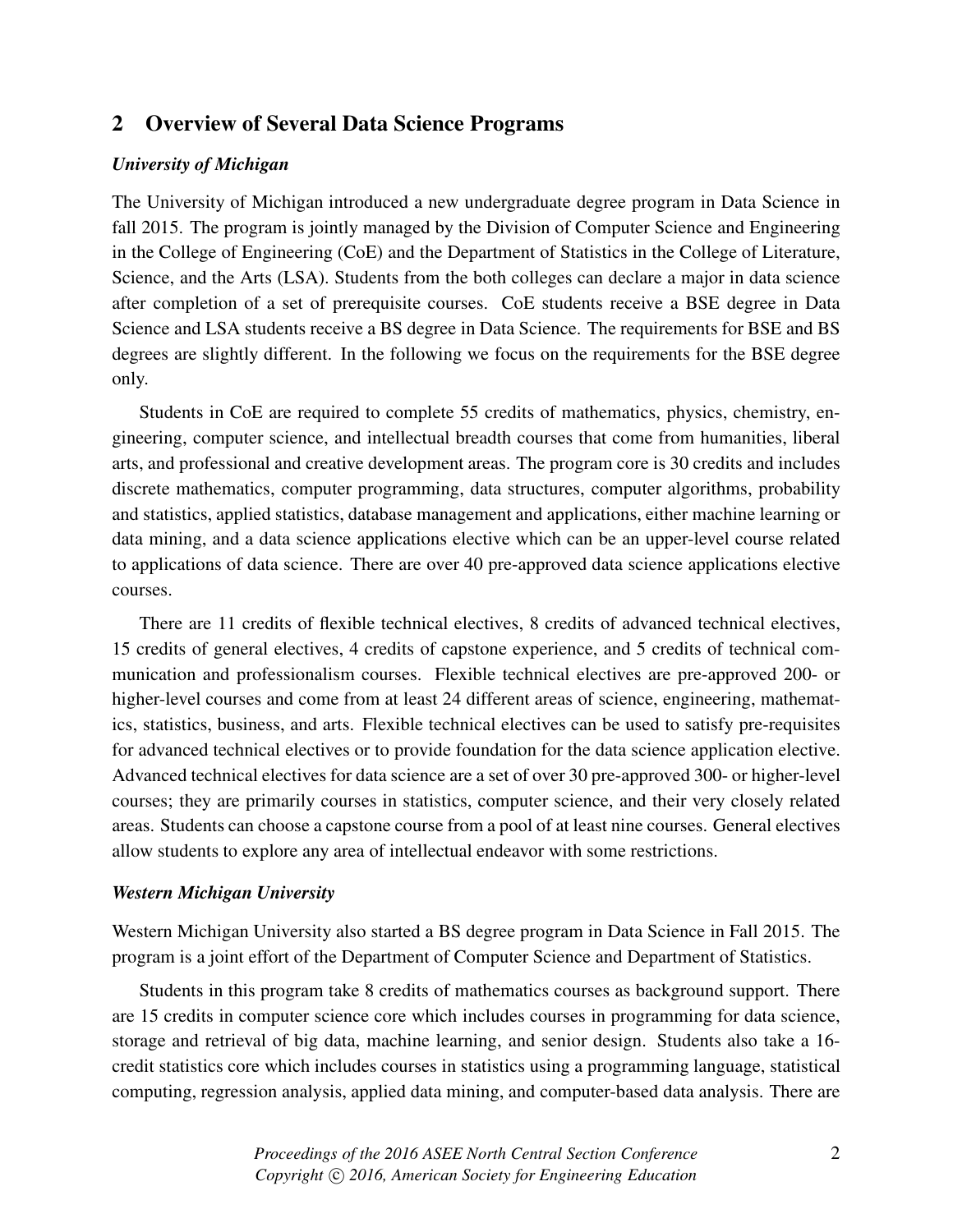## 2 Overview of Several Data Science Programs

#### *University of Michigan*

The University of Michigan introduced a new undergraduate degree program in Data Science in fall 2015. The program is jointly managed by the Division of Computer Science and Engineering in the College of Engineering (CoE) and the Department of Statistics in the College of Literature, Science, and the Arts (LSA). Students from the both colleges can declare a major in data science after completion of a set of prerequisite courses. CoE students receive a BSE degree in Data Science and LSA students receive a BS degree in Data Science. The requirements for BSE and BS degrees are slightly different. In the following we focus on the requirements for the BSE degree only.

Students in CoE are required to complete 55 credits of mathematics, physics, chemistry, engineering, computer science, and intellectual breadth courses that come from humanities, liberal arts, and professional and creative development areas. The program core is 30 credits and includes discrete mathematics, computer programming, data structures, computer algorithms, probability and statistics, applied statistics, database management and applications, either machine learning or data mining, and a data science applications elective which can be an upper-level course related to applications of data science. There are over 40 pre-approved data science applications elective courses.

There are 11 credits of flexible technical electives, 8 credits of advanced technical electives, 15 credits of general electives, 4 credits of capstone experience, and 5 credits of technical communication and professionalism courses. Flexible technical electives are pre-approved 200- or higher-level courses and come from at least 24 different areas of science, engineering, mathematics, statistics, business, and arts. Flexible technical electives can be used to satisfy pre-requisites for advanced technical electives or to provide foundation for the data science application elective. Advanced technical electives for data science are a set of over 30 pre-approved 300- or higher-level courses; they are primarily courses in statistics, computer science, and their very closely related areas. Students can choose a capstone course from a pool of at least nine courses. General electives allow students to explore any area of intellectual endeavor with some restrictions.

#### *Western Michigan University*

Western Michigan University also started a BS degree program in Data Science in Fall 2015. The program is a joint effort of the Department of Computer Science and Department of Statistics.

Students in this program take 8 credits of mathematics courses as background support. There are 15 credits in computer science core which includes courses in programming for data science, storage and retrieval of big data, machine learning, and senior design. Students also take a 16 credit statistics core which includes courses in statistics using a programming language, statistical computing, regression analysis, applied data mining, and computer-based data analysis. There are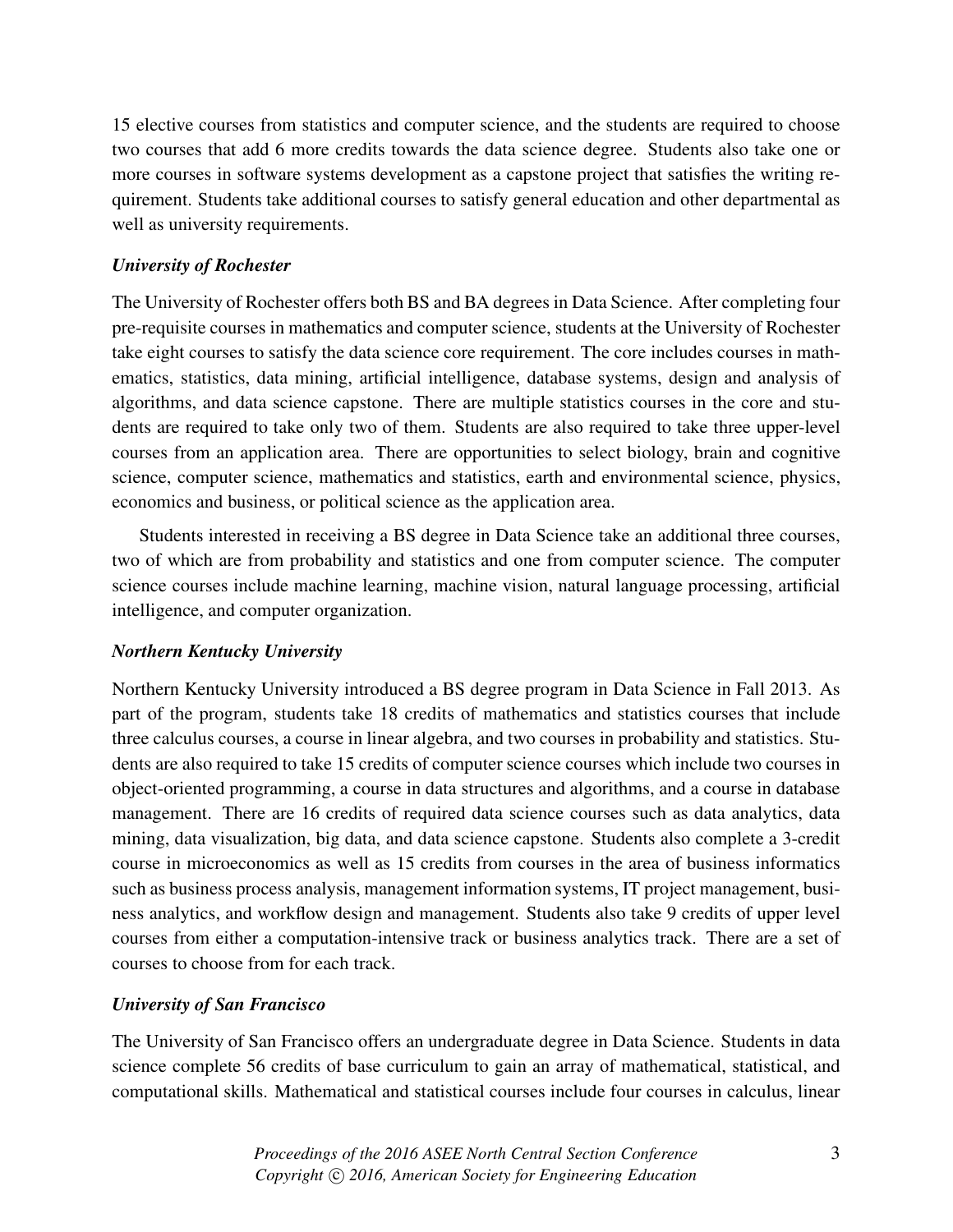15 elective courses from statistics and computer science, and the students are required to choose two courses that add 6 more credits towards the data science degree. Students also take one or more courses in software systems development as a capstone project that satisfies the writing requirement. Students take additional courses to satisfy general education and other departmental as well as university requirements.

#### *University of Rochester*

The University of Rochester offers both BS and BA degrees in Data Science. After completing four pre-requisite courses in mathematics and computer science, students at the University of Rochester take eight courses to satisfy the data science core requirement. The core includes courses in mathematics, statistics, data mining, artificial intelligence, database systems, design and analysis of algorithms, and data science capstone. There are multiple statistics courses in the core and students are required to take only two of them. Students are also required to take three upper-level courses from an application area. There are opportunities to select biology, brain and cognitive science, computer science, mathematics and statistics, earth and environmental science, physics, economics and business, or political science as the application area.

Students interested in receiving a BS degree in Data Science take an additional three courses, two of which are from probability and statistics and one from computer science. The computer science courses include machine learning, machine vision, natural language processing, artificial intelligence, and computer organization.

### *Northern Kentucky University*

Northern Kentucky University introduced a BS degree program in Data Science in Fall 2013. As part of the program, students take 18 credits of mathematics and statistics courses that include three calculus courses, a course in linear algebra, and two courses in probability and statistics. Students are also required to take 15 credits of computer science courses which include two courses in object-oriented programming, a course in data structures and algorithms, and a course in database management. There are 16 credits of required data science courses such as data analytics, data mining, data visualization, big data, and data science capstone. Students also complete a 3-credit course in microeconomics as well as 15 credits from courses in the area of business informatics such as business process analysis, management information systems, IT project management, business analytics, and workflow design and management. Students also take 9 credits of upper level courses from either a computation-intensive track or business analytics track. There are a set of courses to choose from for each track.

### *University of San Francisco*

The University of San Francisco offers an undergraduate degree in Data Science. Students in data science complete 56 credits of base curriculum to gain an array of mathematical, statistical, and computational skills. Mathematical and statistical courses include four courses in calculus, linear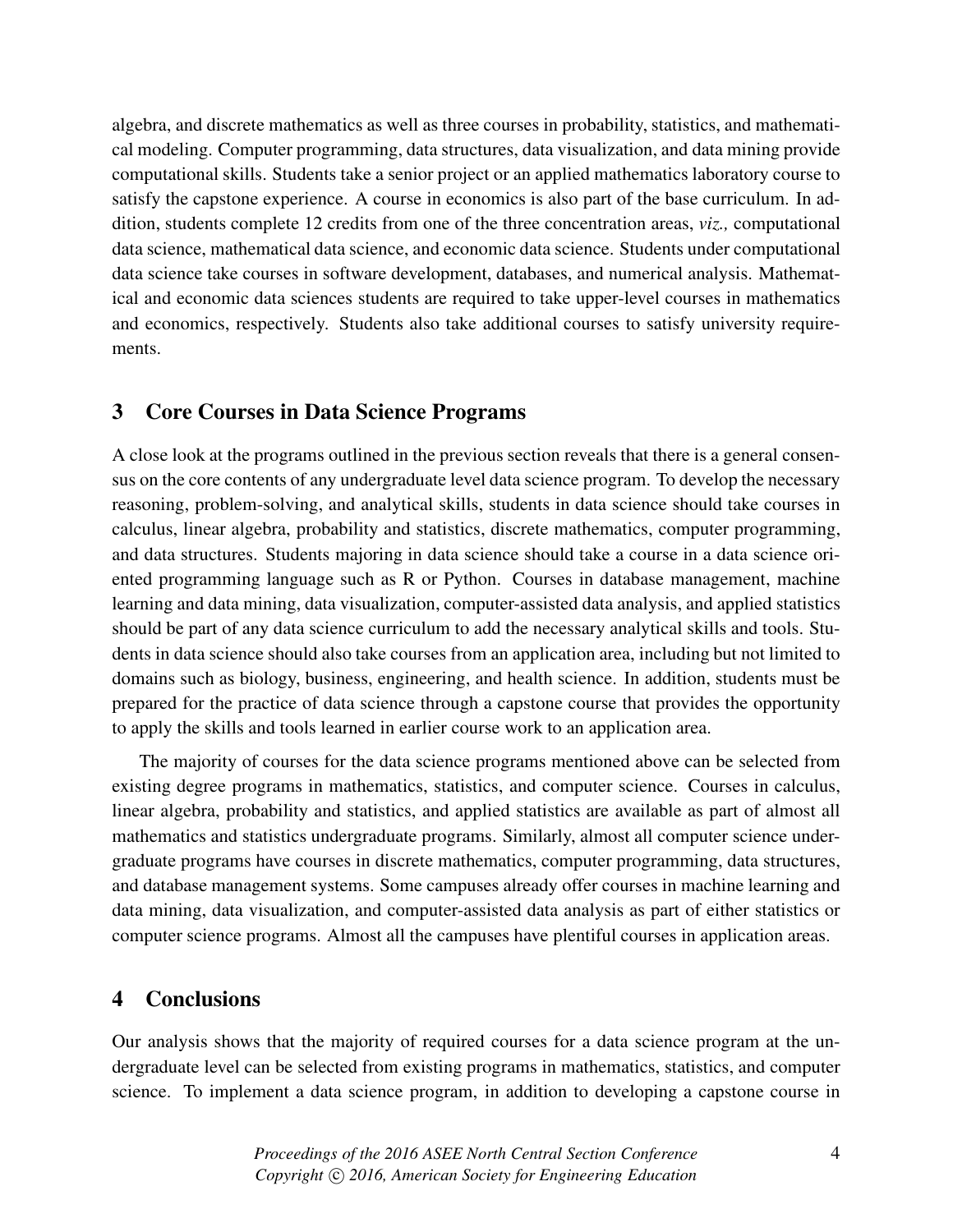algebra, and discrete mathematics as well as three courses in probability, statistics, and mathematical modeling. Computer programming, data structures, data visualization, and data mining provide computational skills. Students take a senior project or an applied mathematics laboratory course to satisfy the capstone experience. A course in economics is also part of the base curriculum. In addition, students complete 12 credits from one of the three concentration areas, *viz.,* computational data science, mathematical data science, and economic data science. Students under computational data science take courses in software development, databases, and numerical analysis. Mathematical and economic data sciences students are required to take upper-level courses in mathematics and economics, respectively. Students also take additional courses to satisfy university requirements.

### 3 Core Courses in Data Science Programs

A close look at the programs outlined in the previous section reveals that there is a general consensus on the core contents of any undergraduate level data science program. To develop the necessary reasoning, problem-solving, and analytical skills, students in data science should take courses in calculus, linear algebra, probability and statistics, discrete mathematics, computer programming, and data structures. Students majoring in data science should take a course in a data science oriented programming language such as R or Python. Courses in database management, machine learning and data mining, data visualization, computer-assisted data analysis, and applied statistics should be part of any data science curriculum to add the necessary analytical skills and tools. Students in data science should also take courses from an application area, including but not limited to domains such as biology, business, engineering, and health science. In addition, students must be prepared for the practice of data science through a capstone course that provides the opportunity to apply the skills and tools learned in earlier course work to an application area.

The majority of courses for the data science programs mentioned above can be selected from existing degree programs in mathematics, statistics, and computer science. Courses in calculus, linear algebra, probability and statistics, and applied statistics are available as part of almost all mathematics and statistics undergraduate programs. Similarly, almost all computer science undergraduate programs have courses in discrete mathematics, computer programming, data structures, and database management systems. Some campuses already offer courses in machine learning and data mining, data visualization, and computer-assisted data analysis as part of either statistics or computer science programs. Almost all the campuses have plentiful courses in application areas.

#### 4 Conclusions

Our analysis shows that the majority of required courses for a data science program at the undergraduate level can be selected from existing programs in mathematics, statistics, and computer science. To implement a data science program, in addition to developing a capstone course in